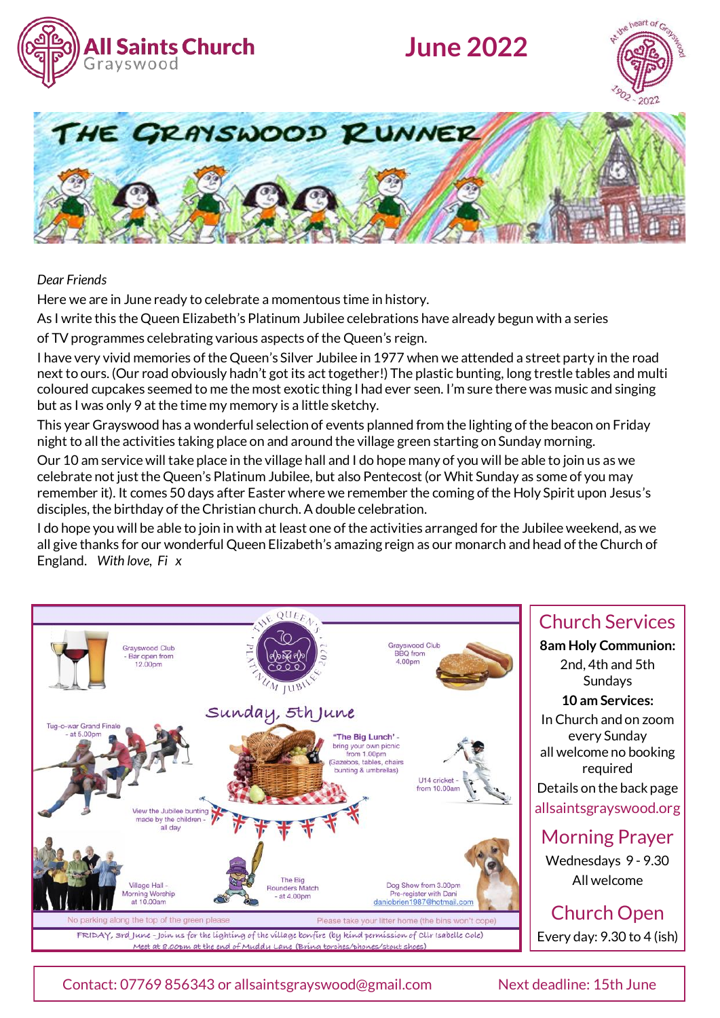

# **June 2022**





#### *Dear Friends*

Here we are in June ready to celebrate a momentous time in history.

As I write this the Queen Elizabeth's Platinum Jubilee celebrations have already begun with a series

of TV programmes celebrating various aspects of the Queen's reign.

I have very vivid memories of the Queen's Silver Jubilee in 1977 when we attended a street party in the road next to ours. (Our road obviously hadn't got its act together!) The plastic bunting, long trestle tables and multi coloured cupcakes seemed to me the most exotic thing I had ever seen. I'm sure there was music and singing but as I was only 9 at the time my memory is a little sketchy.

This year Grayswood has a wonderful selection of events planned from the lighting of the beacon on Friday night to all the activities taking place on and around the village green starting on Sunday morning.

Our 10 am service will take place in the village hall and I do hope many of you will be able to join us as we celebrate not just the Queen's Platinum Jubilee, but also Pentecost (or Whit Sunday as some of you may remember it). It comes 50 days after Easter where we remember the coming of the Holy Spirit upon Jesus's disciples, the birthday of the Christian church. A double celebration.

I do hope you will be able to join in with at least one of the activities arranged for the Jubilee weekend, as we all give thanks for our wonderful Queen Elizabeth's amazing reign as our monarch and head of the Church of England. *With love, Fi x*



## Church Services **8am Holy Communion:**  2nd, 4th and 5th Sundays **10 am Services:**  In Church and on zoom every Sunday all welcome no booking required Details on the back page allsaintsgrayswood.org Morning Prayer Wednesdays 9 - 9.30 All welcome

Church Open Every day: 9.30 to 4 (ish)

Contact: 07769 856343 or allsaintsgrayswood@gmail.com Next deadline: 15th June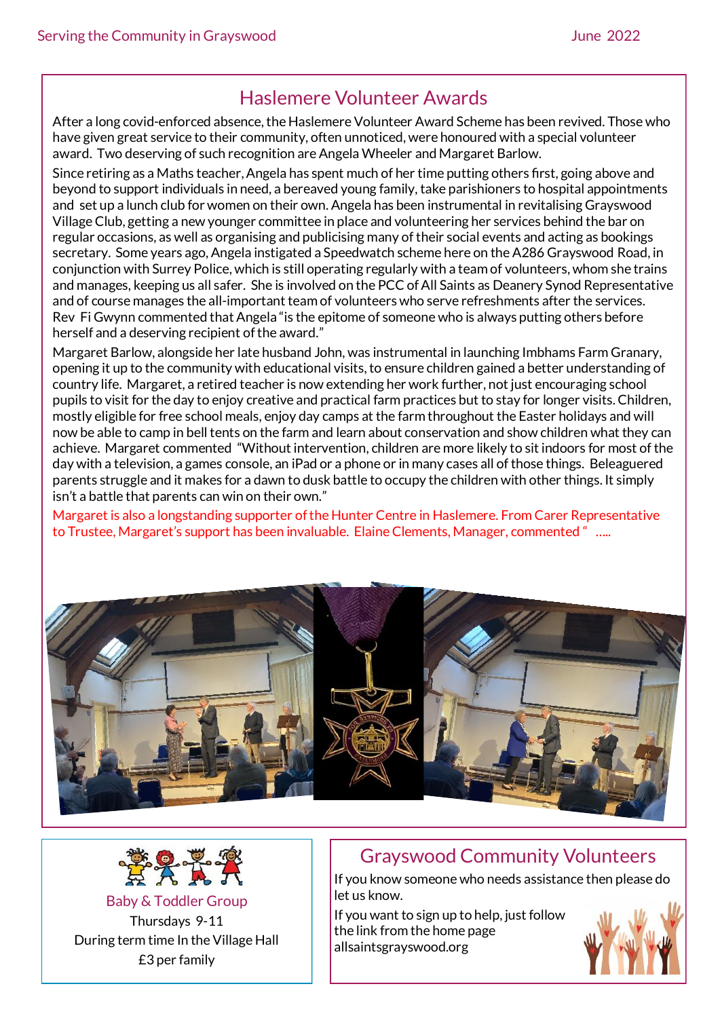# Haslemere Volunteer Awards

After a long covid-enforced absence, the Haslemere Volunteer Award Scheme has been revived. Those who have given great service to their community, often unnoticed, were honoured with a special volunteer award. Two deserving of such recognition are Angela Wheeler and Margaret Barlow.

Since retiring as a Maths teacher, Angela has spent much of her time putting others first, going above and beyond to support individuals in need, a bereaved young family, take parishioners to hospital appointments and set up a lunch club for women on their own. Angela has been instrumental in revitalising Grayswood Village Club, getting a new younger committee in place and volunteering her services behind the bar on regular occasions, as well as organising and publicising many of their social events and acting as bookings secretary. Some years ago, Angela instigated a Speedwatch scheme here on the A286 Grayswood Road, in conjunction with Surrey Police, which is still operating regularly with a team of volunteers, whom she trains and manages, keeping us all safer. She is involved on the PCC of All Saints as Deanery Synod Representative and of course manages the all-important team of volunteers who serve refreshments after the services. Rev Fi Gwynn commented that Angela "is the epitome of someone who is always putting others before herself and a deserving recipient of the award."

Margaret Barlow, alongside her late husband John, was instrumental in launching Imbhams Farm Granary, opening it up to the community with educational visits, to ensure children gained a better understanding of country life. Margaret, a retired teacher is now extending her work further, not just encouraging school pupils to visit for the day to enjoy creative and practical farm practices but to stay for longer visits. Children, mostly eligible for free school meals, enjoy day camps at the farm throughout the Easter holidays and will now be able to camp in bell tents on the farm and learn about conservation and show children what they can achieve. Margaret commented "Without intervention, children are more likely to sit indoors for most of the day with a television, a games console, an iPad or a phone or in many cases all of those things. Beleaguered parents struggle and it makes for a dawn to dusk battle to occupy the children with other things. It simply isn't a battle that parents can win on their own."

Margaret is also a longstanding supporter of the Hunter Centre in Haslemere. From Carer Representative to Trustee, Margaret's support has been invaluable. Elaine Clements, Manager, commented " …..





Baby & Toddler Group Thursdays 9-11 During term time In the Village Hall £3 per family

# Grayswood Community Volunteers

If you know someone who needs assistance then please do let us know.

If you want to sign up to help, just follow the link from the home page [allsaintsgrayswood.org](https://allsaintsgrayswood.churchsuite.com/forms/2ljomydb)

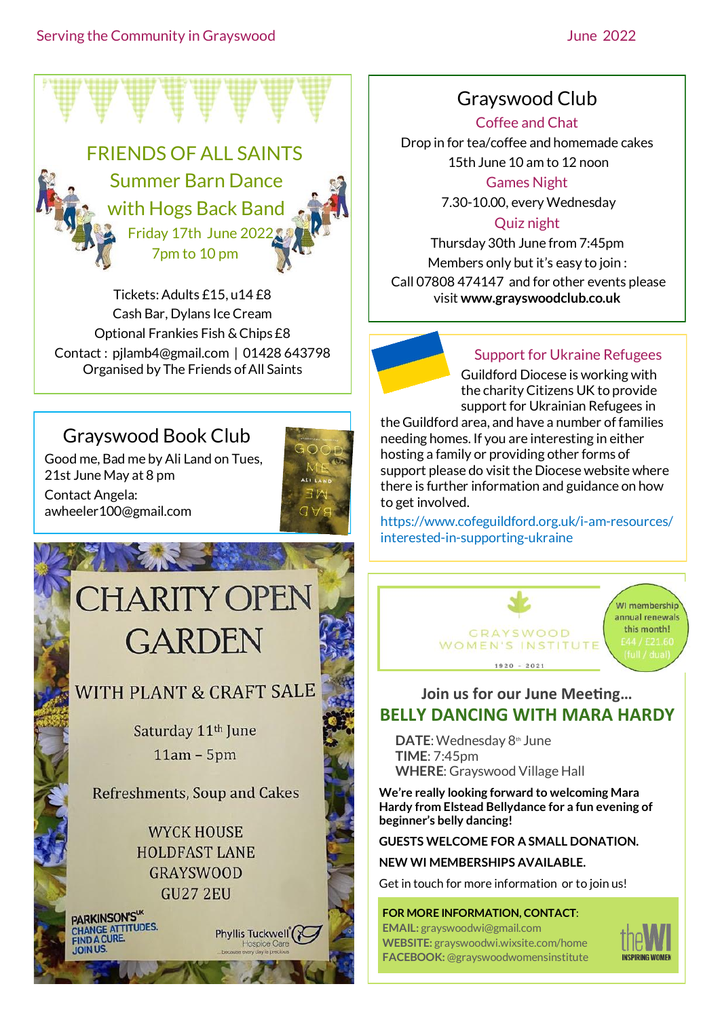

Tickets: Adults £15, u14 £8 Cash Bar, Dylans Ice Cream Optional Frankies Fish & Chips £8 Contact : pjlamb4@gmail.com | 01428 643798 Organised by The Friends of All Saints

# Grayswood Book Club

Good me, Bad me by Ali Land on Tues, 21st June May at 8 pm Contact Angela: awheeler100@gmail.com



# CHARITY OPEN **GARDEN**

**START ALL THE START** 

# WITH PLANT & CRAFT SALE

Saturday 11<sup>th</sup> June  $11am - 5pm$ 

**Refreshments, Soup and Cakes** 

**WYCK HOUSE HOLDFAST LANE GRAYSWOOD** GU27 2EU

Phyllis Tuckwell<sup>®</sup>

PARKINSON'S" PARKINSON S<br>CHANGE ATTITUDES.<br>FIND A CURE. Grayswood Club

Coffee and Chat

Drop in for tea/coffee and homemade cakes 15th June 10 am to 12 noon

Games Night

7.30-10.00, every Wednesday

## Quiz night

Thursday 30th June from 7:45pm Members only but it's easy to join : Call 07808 474147 and for other events please visit **www.grayswoodclub.co.uk**



## Support for Ukraine Refugees

Guildford Diocese is working with the charityCitizens UK to provide support for Ukrainian Refugees in

the Guildford area, and have a number of families needing homes. If you are interesting in either hosting a family or providing other forms of support please do visit the Diocese website where there is further information and guidance on how to get involved.

[https://www.cofeguildford.org.uk/i](https://www.cofeguildford.org.uk/i-am-resources/interested-in-supporting-ukraine)-am-resources/ interested-in-[supporting](https://www.cofeguildford.org.uk/i-am-resources/interested-in-supporting-ukraine)-ukraine



## **Join us for our June Meeting… BELLY DANCING WITH MARA HARDY**

**DATE:** Wednesday 8th June **TIME**: 7:45pm **WHERE**: Grayswood Village Hall

**We're really looking forward to welcoming Mara Hardy from Elstead Bellydance for a fun evening of beginner's belly dancing!**

**GUESTS WELCOME FOR A SMALL DONATION.**

#### **NEW WI MEMBERSHIPS AVAILABLE.**

Get in touch for more information or to join us!

#### **FOR MORE INFORMATION, CONTACT**:

**EMAIL:** grayswoodwi@gmail.com **WEBSITE:** grayswoodwi.wixsite.com/home **FACEBOOK:** @grayswoodwomensinstitute